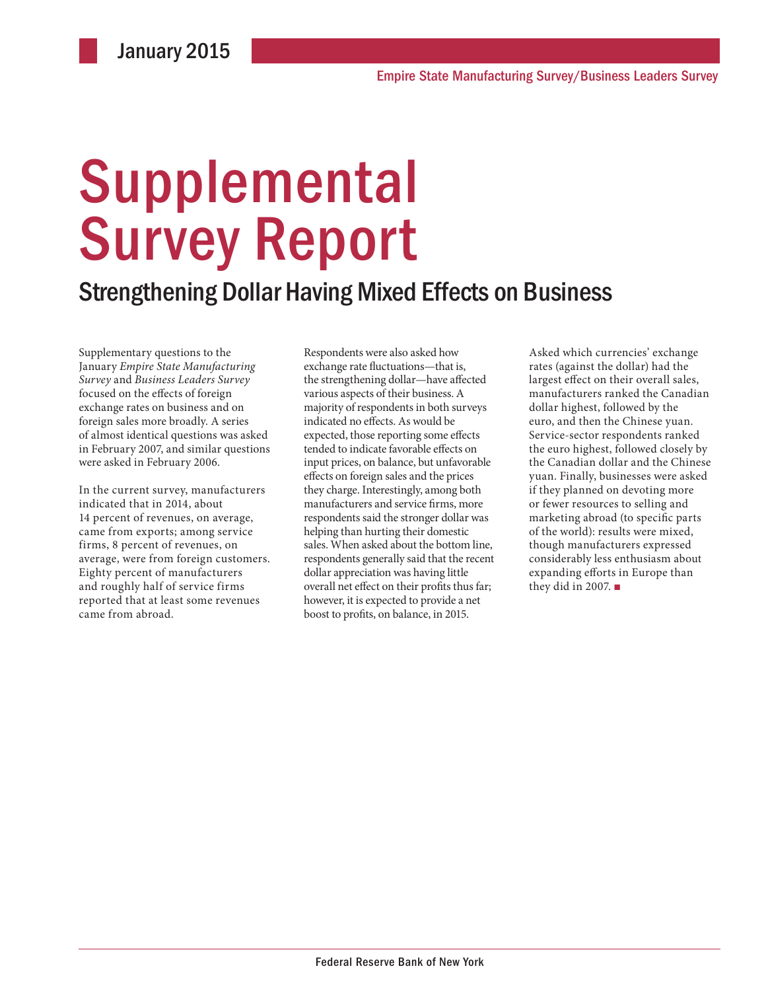# **Supplemental** Survey Report

### Strengthening Dollar Having Mixed Effects on Business

Supplementary questions to the January *Empire State Manufacturing Survey* and *Business Leaders Survey* focused on the effects of foreign exchange rates on business and on foreign sales more broadly. A series of almost identical questions was asked in February 2007, and similar questions were asked in February 2006.

In the current survey, manufacturers indicated that in 2014, about 14 percent of revenues, on average, came from exports; among service firms, 8 percent of revenues, on average, were from foreign customers. Eighty percent of manufacturers and roughly half of service firms reported that at least some revenues came from abroad.

Respondents were also asked how exchange rate fluctuations—that is, the strengthening dollar—have affected various aspects of their business. A majority of respondents in both surveys indicated no effects. As would be expected, those reporting some effects tended to indicate favorable effects on input prices, on balance, but unfavorable effects on foreign sales and the prices they charge. Interestingly, among both manufacturers and service firms, more respondents said the stronger dollar was helping than hurting their domestic sales. When asked about the bottom line, respondents generally said that the recent dollar appreciation was having little overall net effect on their profits thus far; however, it is expected to provide a net boost to profits, on balance, in 2015.

Asked which currencies' exchange rates (against the dollar) had the largest effect on their overall sales, manufacturers ranked the Canadian dollar highest, followed by the euro, and then the Chinese yuan. Service-sector respondents ranked the euro highest, followed closely by the Canadian dollar and the Chinese yuan. Finally, businesses were asked if they planned on devoting more or fewer resources to selling and marketing abroad (to specific parts of the world): results were mixed, though manufacturers expressed considerably less enthusiasm about expanding efforts in Europe than they did in 2007. ■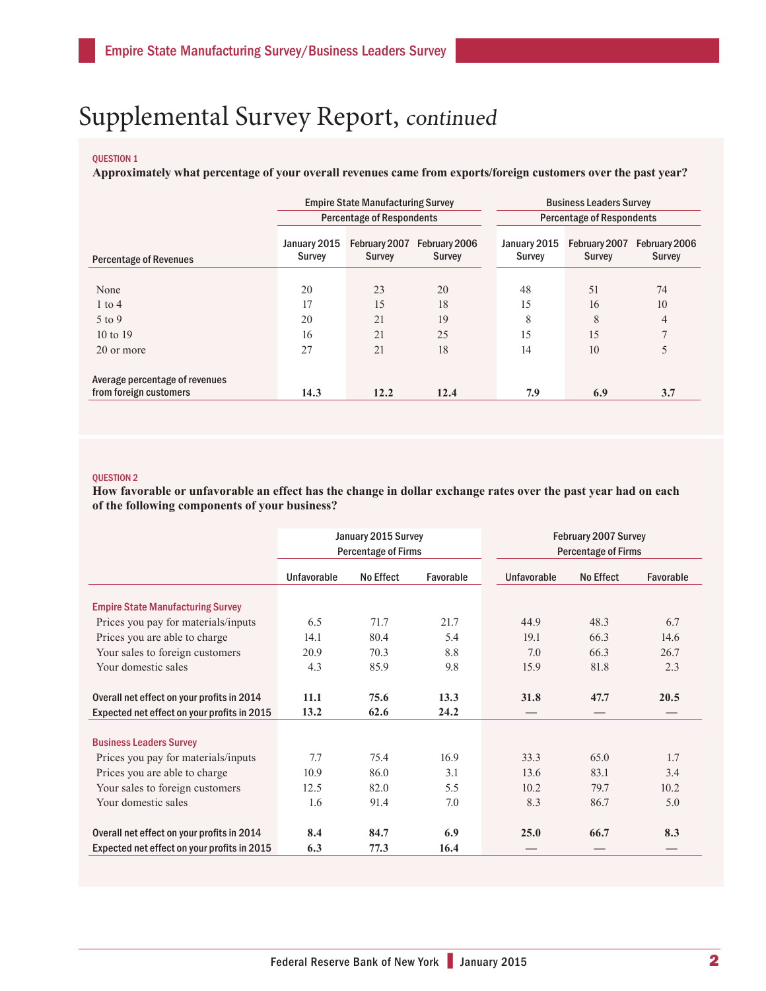### Supplemental Survey Report, continued

### QUESTION 1

**Approximately what percentage of your overall revenues came from exports/foreign customers over the past year?**

|                                                          |                        | <b>Empire State Manufacturing Survey</b> |                                | <b>Business Leaders Survey</b>   |                                |                                |  |  |
|----------------------------------------------------------|------------------------|------------------------------------------|--------------------------------|----------------------------------|--------------------------------|--------------------------------|--|--|
|                                                          |                        | <b>Percentage of Respondents</b>         |                                | <b>Percentage of Respondents</b> |                                |                                |  |  |
| <b>Percentage of Revenues</b>                            | January 2015<br>Survey | February 2007<br><b>Survey</b>           | February 2006<br><b>Survey</b> | January 2015<br>Survey           | February 2007<br><b>Survey</b> | February 2006<br><b>Survey</b> |  |  |
| None                                                     | 20                     | 23                                       | 20                             | 48                               | 51                             | 74                             |  |  |
| $1$ to $4$                                               | 17                     | 15                                       | 18                             | 15                               | 16                             | 10                             |  |  |
| 5 to 9                                                   | 20                     | 21                                       | 19                             | 8                                | 8                              | 4                              |  |  |
| 10 to $19$                                               | 16                     | 21                                       | 25                             | 15                               | 15                             | 7                              |  |  |
| 20 or more                                               | 27                     | 21                                       | 18                             | 14                               | 10                             | 5                              |  |  |
| Average percentage of revenues<br>from foreign customers | 14.3                   | 12.2                                     | 12.4                           | 7.9                              | 6.9                            | 3.7                            |  |  |
|                                                          |                        |                                          |                                |                                  |                                |                                |  |  |

#### QUESTION 2

**How favorable or unfavorable an effect has the change in dollar exchange rates over the past year had on each of the following components of your business?** 

|                                             |             | January 2015 Survey        |           | February 2007 Survey<br><b>Percentage of Firms</b> |           |           |  |  |
|---------------------------------------------|-------------|----------------------------|-----------|----------------------------------------------------|-----------|-----------|--|--|
|                                             |             | <b>Percentage of Firms</b> |           |                                                    |           |           |  |  |
|                                             | Unfavorable | No Effect                  | Favorable | Unfavorable                                        | No Effect | Favorable |  |  |
| <b>Empire State Manufacturing Survey</b>    |             |                            |           |                                                    |           |           |  |  |
| Prices you pay for materials/inputs         | 6.5         | 71.7                       | 21.7      | 44.9                                               | 48.3      | 6.7       |  |  |
| Prices you are able to charge               | 14.1        | 80.4                       | 5.4       | 19.1                                               | 66.3      | 14.6      |  |  |
| Your sales to foreign customers             | 20.9        | 70.3                       | 8.8       | 7.0                                                | 66.3      | 26.7      |  |  |
| Your domestic sales                         | 4.3         | 85.9                       | 9.8       | 15.9                                               | 81.8      | 2.3       |  |  |
| Overall net effect on your profits in 2014  | 11.1        | 75.6                       | 13.3      | 31.8                                               | 47.7      | 20.5      |  |  |
| Expected net effect on your profits in 2015 | 13.2        | 62.6                       | 24.2      |                                                    |           |           |  |  |
| <b>Business Leaders Survey</b>              |             |                            |           |                                                    |           |           |  |  |
| Prices you pay for materials/inputs         | 7.7         | 75.4                       | 16.9      | 33.3                                               | 65.0      | 1.7       |  |  |
| Prices you are able to charge               | 10.9        | 86.0                       | 3.1       | 13.6                                               | 83.1      | 3.4       |  |  |
| Your sales to foreign customers             | 12.5        | 82.0                       | 5.5       | 10.2                                               | 79.7      | 10.2      |  |  |
| Your domestic sales                         | 1.6         | 91.4                       | 7.0       | 8.3                                                | 86.7      | 5.0       |  |  |
| Overall net effect on your profits in 2014  | 8.4         | 84.7                       | 6.9       | 25.0                                               | 66.7      | 8.3       |  |  |
| Expected net effect on your profits in 2015 | 6.3         | 77.3                       | 16.4      |                                                    |           |           |  |  |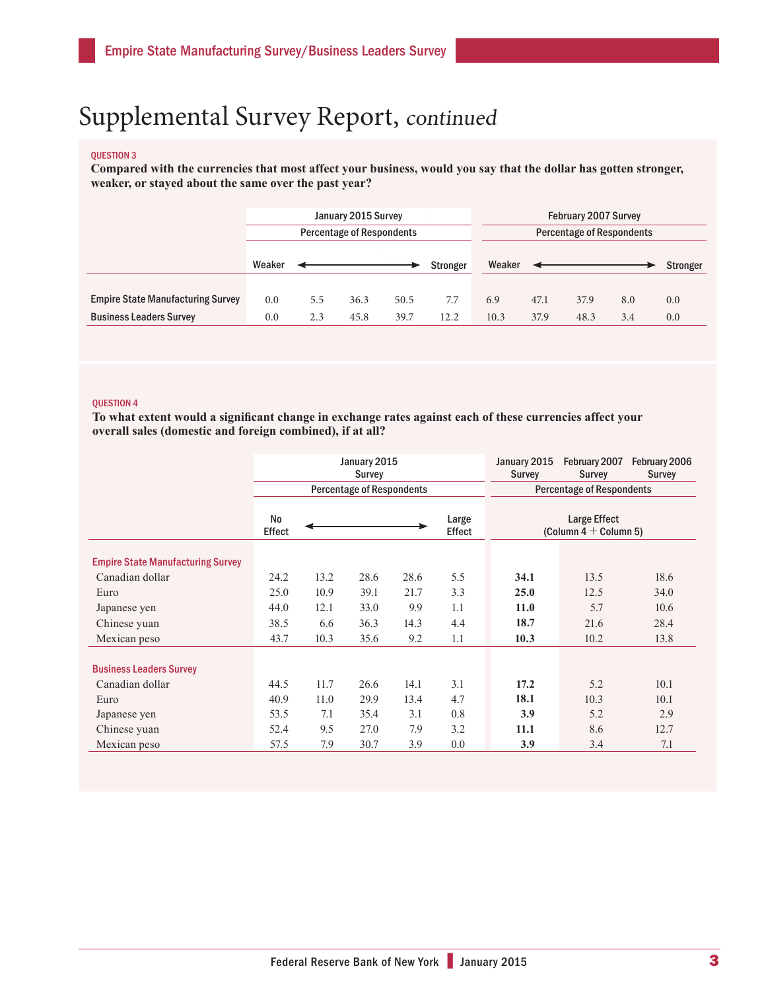### Supplemental Survey Report, continued

#### QUESTION 3

**Compared with the currencies that most affect your business, would you say that the dollar has gotten stronger, weaker, or stayed about the same over the past year?**

|                                          | January 2015 Survey              |     |      |      |          | <b>February 2007 Survey</b>      |      |      |     |          |
|------------------------------------------|----------------------------------|-----|------|------|----------|----------------------------------|------|------|-----|----------|
|                                          | <b>Percentage of Respondents</b> |     |      |      |          | <b>Percentage of Respondents</b> |      |      |     |          |
|                                          |                                  |     |      |      |          |                                  |      |      |     |          |
|                                          | Weaker                           |     |      |      | Stronger | Weaker                           |      |      |     | Stronger |
|                                          |                                  |     |      |      |          |                                  |      |      |     |          |
| <b>Empire State Manufacturing Survey</b> | 0.0                              | 5.5 | 36.3 | 50.5 | 7.7      | 6.9                              | 47.1 | 37.9 | 8.0 | 0.0      |
| <b>Business Leaders Survey</b>           | 0.0                              | 2.3 | 45.8 | 39.7 | 12.2     | 10.3                             | 37.9 | 48.3 | 3.4 | 0.0      |

#### QUESTION 4

**To what extent would a significant change in exchange rates against each of these currencies affect your overall sales (domestic and foreign combined), if at all?**

|                                          |              |                                                            | January 2015<br><b>Survey</b>    |      | January 2015<br><b>Survey</b> | February 2007<br><b>Survey</b>   | February 2006<br><b>Survey</b> |      |  |
|------------------------------------------|--------------|------------------------------------------------------------|----------------------------------|------|-------------------------------|----------------------------------|--------------------------------|------|--|
|                                          |              |                                                            | <b>Percentage of Respondents</b> |      |                               | <b>Percentage of Respondents</b> |                                |      |  |
|                                          | No<br>Effect | Large Effect<br>Large<br>(Column $4 +$ Column 5)<br>Effect |                                  |      |                               |                                  |                                |      |  |
| <b>Empire State Manufacturing Survey</b> |              |                                                            |                                  |      |                               |                                  |                                |      |  |
| Canadian dollar                          | 24.2         | 13.2                                                       | 28.6                             | 28.6 | 5.5                           | 34.1                             | 13.5                           | 18.6 |  |
| Euro                                     | 25.0         | 10.9                                                       | 39.1                             | 21.7 | 3.3                           | 25.0                             | 12.5                           | 34.0 |  |
| Japanese yen                             | 44.0         | 12.1                                                       | 33.0                             | 9.9  | 1.1                           | 11.0                             | 5.7                            | 10.6 |  |
| Chinese yuan                             | 38.5         | 6.6                                                        | 36.3                             | 14.3 | 4.4                           | 18.7                             | 21.6                           | 28.4 |  |
| Mexican peso                             | 43.7         | 10.3                                                       | 35.6                             | 9.2  | 1.1                           | 10.3                             | 10.2                           | 13.8 |  |
| <b>Business Leaders Survey</b>           |              |                                                            |                                  |      |                               |                                  |                                |      |  |
| Canadian dollar                          | 44.5         | 11.7                                                       | 26.6                             | 14.1 | 3.1                           | 17.2                             | 5.2                            | 10.1 |  |
| Euro                                     | 40.9         | 11.0                                                       | 29.9                             | 13.4 | 4.7                           | 18.1                             | 10.3                           | 10.1 |  |
| Japanese yen                             | 53.5         | 7.1                                                        | 35.4                             | 3.1  | 0.8                           | 3.9                              | 5.2                            | 2.9  |  |
| Chinese yuan                             | 52.4         | 9.5                                                        | 27.0                             | 7.9  | 3.2                           | 11.1                             | 8.6                            | 12.7 |  |
| Mexican peso                             | 57.5         | 7.9                                                        | 30.7                             | 3.9  | 0.0                           | 3.9                              | 3.4                            | 7.1  |  |